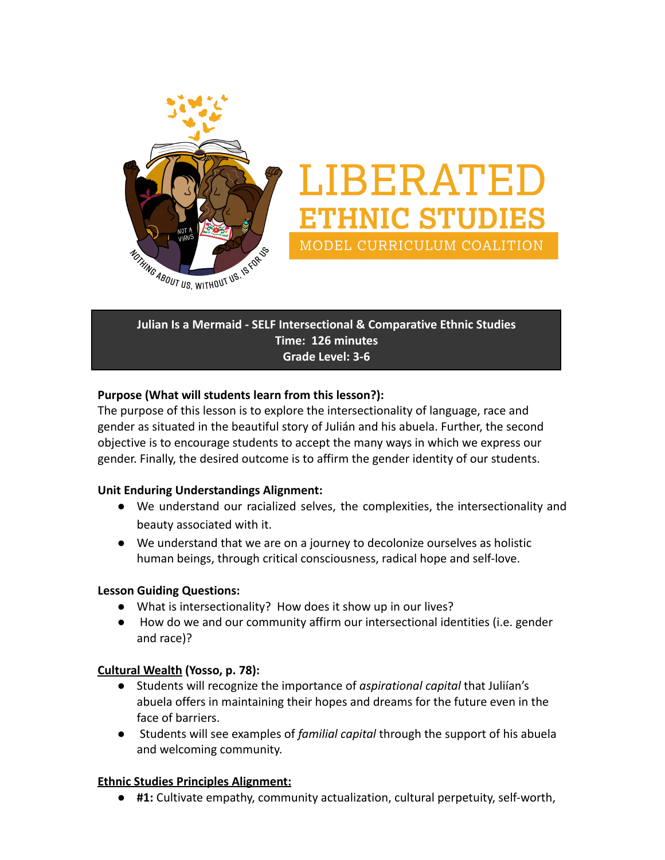

# LIBERATED **THNIC STUDIES** MODEL CURRICULUM COALITION

**Julian Is a Mermaid - SELF Intersectional & Comparative Ethnic Studies Time: 126 minutes Grade Level: 3-6**

#### **Purpose (What will students learn from this lesson?):**

The purpose of this lesson is to explore the intersectionality of language, race and gender as situated in the beautiful story of Julián and his abuela. Further, the second objective is to encourage students to accept the many ways in which we express our gender. Finally, the desired outcome is to affirm the gender identity of our students.

#### **Unit Enduring Understandings Alignment:**

- **●** We understand our racialized selves, the complexities, the intersectionality and beauty associated with it.
- **●** We understand that we are on a journey to decolonize ourselves as holistic human beings, through critical consciousness, radical hope and self-love.

#### **Lesson Guiding Questions:**

- What is intersectionality? How does it show up in our lives?
- How do we and our community affirm our intersectional identities (i.e. gender and race)?

#### **[Cultural Wealth](https://drive.google.com/file/d/0B0c4WTZSk3sNNlJuV1NobldqTHc/view?usp=sharing) (Yosso, p. 78):**

- Students will recognize the importance of *aspirational capital* that Juliían's abuela offers in maintaining their hopes and dreams for the future even in the face of barriers.
- Students will see examples of *familial capital* through the support of his abuela and welcoming community.

#### **[Ethnic Studies Principles Alignment:](https://docs.google.com/document/d/1IXvC0GexzT95ptWjV8I5AMmghJ4ch0HQc_uOkKslPSU/edit?usp=sharing)**

**● #1:** Cultivate empathy, community actualization, cultural perpetuity, self-worth,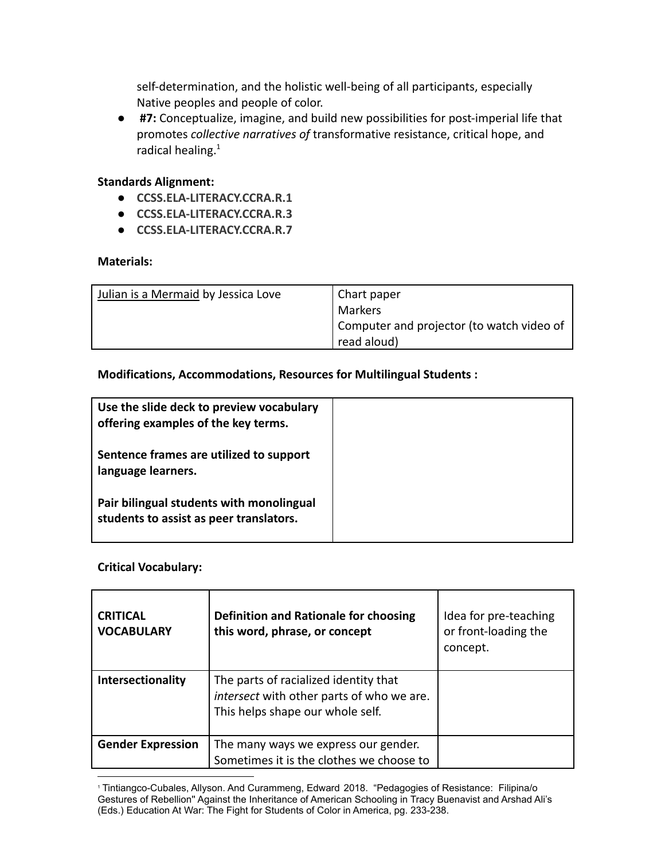self-determination, and the holistic well-being of all participants, especially Native peoples and people of color.

**● #7:** Conceptualize, imagine, and build new possibilities for post-imperial life that promotes *collective narratives of* transformative resistance, critical hope, and radical healing. $1$ 

#### **Standards Alignment:**

- **● [CCSS.ELA-LITERACY.CCRA.R.1](http://www.corestandards.org/ELA-Literacy/CCRA/R/1/)**
- **● [CCSS.ELA-LITERACY.CCRA.R.3](http://www.corestandards.org/ELA-Literacy/CCRA/R/3/)**
- **● [CCSS.ELA-LITERACY.CCRA.R.7](http://www.corestandards.org/ELA-Literacy/CCRA/R/7/)**

#### **Materials:**

| Julian is a Mermaid by Jessica Love | Chart paper                               |
|-------------------------------------|-------------------------------------------|
|                                     | Markers                                   |
|                                     | Computer and projector (to watch video of |
|                                     | read aloud)                               |

#### **Modifications, Accommodations, Resources for Multilingual Students :**

| Use the slide deck to preview vocabulary<br>offering examples of the key terms.     |  |
|-------------------------------------------------------------------------------------|--|
| Sentence frames are utilized to support<br>language learners.                       |  |
| Pair bilingual students with monolingual<br>students to assist as peer translators. |  |

#### **Critical Vocabulary:**

| <b>CRITICAL</b><br><b>VOCABULARY</b> | Definition and Rationale for choosing<br>this word, phrase, or concept                                                 | Idea for pre-teaching<br>or front-loading the<br>concept. |
|--------------------------------------|------------------------------------------------------------------------------------------------------------------------|-----------------------------------------------------------|
| <b>Intersectionality</b>             | The parts of racialized identity that<br>intersect with other parts of who we are.<br>This helps shape our whole self. |                                                           |
| <b>Gender Expression</b>             | The many ways we express our gender.<br>Sometimes it is the clothes we choose to                                       |                                                           |

<sup>1</sup> Tintiangco-Cubales, Allyson. And Curammeng, Edward 2018. "Pedagogies of Resistance: Filipina/o Gestures of Rebellion'' Against the Inheritance of American Schooling in Tracy Buenavist and Arshad Ali's (Eds.) Education At War: The Fight for Students of Color in America, pg. 233-238.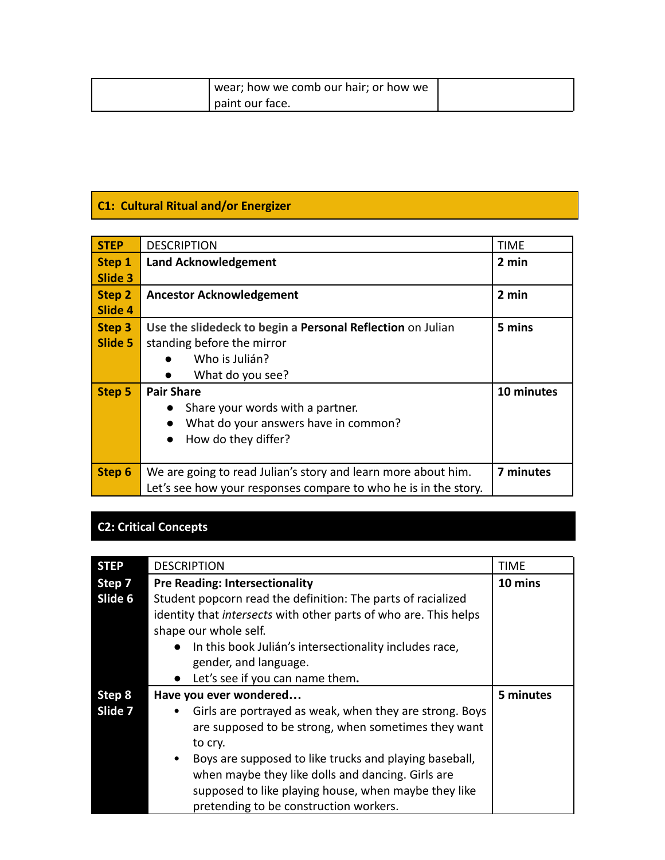| ' wear; how we comb our hair; or how we |  |
|-----------------------------------------|--|
| paint our face.                         |  |

## **C1: Cultural Ritual and/or Energizer**

| <b>STEP</b> | <b>DESCRIPTION</b>                                              | <b>TIME</b> |
|-------------|-----------------------------------------------------------------|-------------|
| Step 1      | <b>Land Acknowledgement</b>                                     | 2 min       |
| Slide 3     |                                                                 |             |
| Step 2      | <b>Ancestor Acknowledgement</b>                                 | 2 min       |
| Slide 4     |                                                                 |             |
| Step 3      | Use the slidedeck to begin a Personal Reflection on Julian      | 5 mins      |
| Slide 5     | standing before the mirror                                      |             |
|             | Who is Julián?                                                  |             |
|             | What do you see?                                                |             |
| Step 5      | <b>Pair Share</b>                                               | 10 minutes  |
|             | Share your words with a partner.<br>$\bullet$                   |             |
|             | What do your answers have in common?<br>$\bullet$               |             |
|             | How do they differ?<br>$\bullet$                                |             |
|             |                                                                 |             |
| Step 6      | We are going to read Julian's story and learn more about him.   | 7 minutes   |
|             | Let's see how your responses compare to who he is in the story. |             |

# **C2: Critical Concepts**

| <b>STEP</b> | <b>DESCRIPTION</b>                                               | TIME      |
|-------------|------------------------------------------------------------------|-----------|
| Step 7      | <b>Pre Reading: Intersectionality</b>                            | 10 mins   |
| Slide 6     | Student popcorn read the definition: The parts of racialized     |           |
|             | identity that intersects with other parts of who are. This helps |           |
|             | shape our whole self.                                            |           |
|             | In this book Julián's intersectionality includes race,           |           |
|             | gender, and language.                                            |           |
|             | • Let's see if you can name them.                                |           |
| Step 8      | Have you ever wondered                                           | 5 minutes |
| Slide 7     | Girls are portrayed as weak, when they are strong. Boys          |           |
|             | are supposed to be strong, when sometimes they want              |           |
|             | to cry.                                                          |           |
|             | Boys are supposed to like trucks and playing baseball,           |           |
|             | when maybe they like dolls and dancing. Girls are                |           |
|             | supposed to like playing house, when maybe they like             |           |
|             | pretending to be construction workers.                           |           |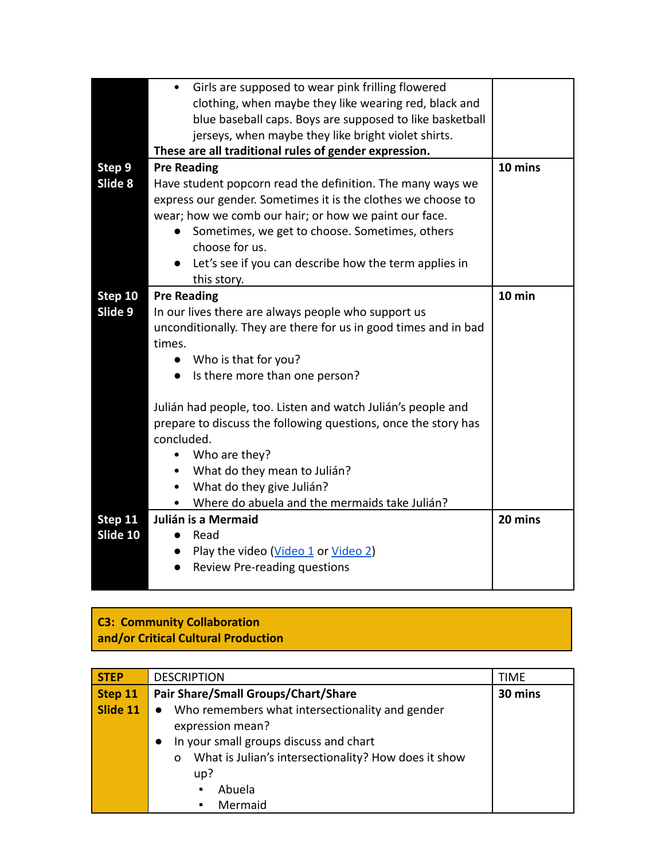|          | Girls are supposed to wear pink frilling flowered<br>$\bullet$  |         |
|----------|-----------------------------------------------------------------|---------|
|          | clothing, when maybe they like wearing red, black and           |         |
|          | blue baseball caps. Boys are supposed to like basketball        |         |
|          | jerseys, when maybe they like bright violet shirts.             |         |
|          | These are all traditional rules of gender expression.           |         |
| Step 9   | <b>Pre Reading</b>                                              | 10 mins |
| Slide 8  | Have student popcorn read the definition. The many ways we      |         |
|          | express our gender. Sometimes it is the clothes we choose to    |         |
|          | wear; how we comb our hair; or how we paint our face.           |         |
|          | Sometimes, we get to choose. Sometimes, others<br>$\bullet$     |         |
|          | choose for us.                                                  |         |
|          | Let's see if you can describe how the term applies in           |         |
|          | this story.                                                     |         |
| Step 10  | <b>Pre Reading</b>                                              | 10 min  |
| Slide 9  | In our lives there are always people who support us             |         |
|          | unconditionally. They are there for us in good times and in bad |         |
|          | times.                                                          |         |
|          | • Who is that for you?                                          |         |
|          | Is there more than one person?<br>$\bullet$                     |         |
|          |                                                                 |         |
|          | Julián had people, too. Listen and watch Julián's people and    |         |
|          | prepare to discuss the following questions, once the story has  |         |
|          | concluded.                                                      |         |
|          | Who are they?<br>٠                                              |         |
|          | What do they mean to Julián?<br>$\bullet$                       |         |
|          | What do they give Julián?<br>٠                                  |         |
|          | Where do abuela and the mermaids take Julián?<br>$\bullet$      |         |
| Step 11  | Julián is a Mermaid                                             | 20 mins |
| Slide 10 | Read                                                            |         |
|          | Play the video ( <i>Video 1 or Video 2</i> )<br>$\bullet$       |         |
|          | Review Pre-reading questions                                    |         |
|          |                                                                 |         |

#### **C3: Community Collaboration and/or Critical Cultural Production**

| <b>STEP</b> | <b>DESCRIPTION</b>                                               | TIME |
|-------------|------------------------------------------------------------------|------|
| Step 11     | Pair Share/Small Groups/Chart/Share<br>30 mins                   |      |
| Slide 11    | Who remembers what intersectionality and gender                  |      |
|             | expression mean?                                                 |      |
|             | In your small groups discuss and chart                           |      |
|             | What is Julian's intersectionality? How does it show<br>$\Omega$ |      |
|             | up?                                                              |      |
|             | Abuela<br>$\blacksquare$                                         |      |
|             | Mermaid<br>$\blacksquare$                                        |      |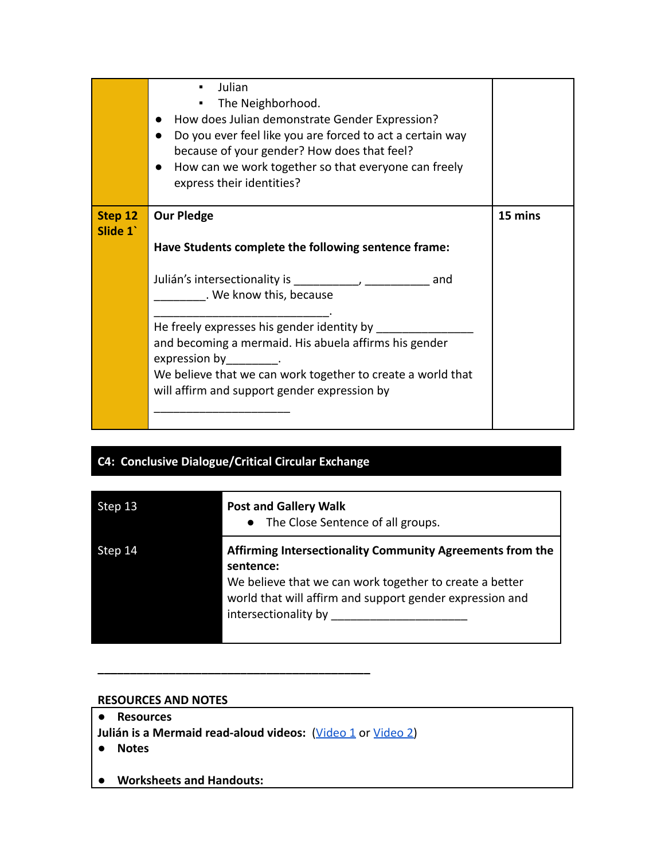|                    | Julian<br>The Neighborhood.<br>How does Julian demonstrate Gender Expression?<br>Do you ever feel like you are forced to act a certain way<br>because of your gender? How does that feel?<br>How can we work together so that everyone can freely<br>express their identities?                                                                                                          |         |
|--------------------|-----------------------------------------------------------------------------------------------------------------------------------------------------------------------------------------------------------------------------------------------------------------------------------------------------------------------------------------------------------------------------------------|---------|
| Step 12<br>Slide 1 | <b>Our Pledge</b><br>Have Students complete the following sentence frame:                                                                                                                                                                                                                                                                                                               | 15 mins |
|                    | Julián's intersectionality is the control of the set of the set of the set of the set of the set of the set of<br>and<br>. We know this, because<br>He freely expresses his gender identity by<br>and becoming a mermaid. His abuela affirms his gender<br>expression by<br>We believe that we can work together to create a world that<br>will affirm and support gender expression by |         |

### **C4: Conclusive Dialogue/Critical Circular Exchange**

| Step 13 | <b>Post and Gallery Walk</b><br>• The Close Sentence of all groups.                                                                                                                                                   |
|---------|-----------------------------------------------------------------------------------------------------------------------------------------------------------------------------------------------------------------------|
| Step 14 | Affirming Intersectionality Community Agreements from the<br>sentence:<br>We believe that we can work together to create a better<br>world that will affirm and support gender expression and<br>intersectionality by |

#### **RESOURCES AND NOTES**

- **Resources**
- Julián is a Mermaid read-aloud videos: ([Video 1](https://www.youtube.com/watch?v=M0C_yvkbY_0) or [Video 2\)](https://www.youtube.com/watch?v=nFdmkUsQ9ZU)

**\_\_\_\_\_\_\_\_\_\_\_\_\_\_\_\_\_\_\_\_\_\_\_\_\_\_\_\_\_\_\_\_\_\_\_\_\_\_\_\_\_\_**

- **Notes**
- **● Worksheets and Handouts:**